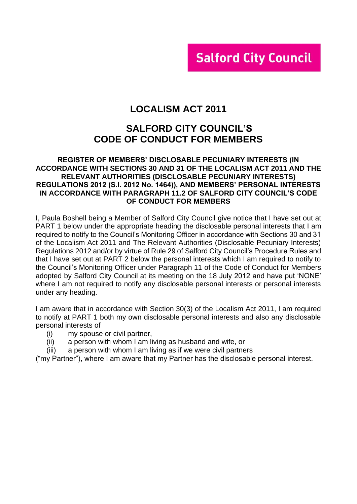# **Salford City Council**

# **LOCALISM ACT 2011**

# **SALFORD CITY COUNCIL'S CODE OF CONDUCT FOR MEMBERS**

#### **REGISTER OF MEMBERS' DISCLOSABLE PECUNIARY INTERESTS (IN ACCORDANCE WITH SECTIONS 30 AND 31 OF THE LOCALISM ACT 2011 AND THE RELEVANT AUTHORITIES (DISCLOSABLE PECUNIARY INTERESTS) REGULATIONS 2012 (S.I. 2012 No. 1464)), AND MEMBERS' PERSONAL INTERESTS IN ACCORDANCE WITH PARAGRAPH 11.2 OF SALFORD CITY COUNCIL'S CODE OF CONDUCT FOR MEMBERS**

I, Paula Boshell being a Member of Salford City Council give notice that I have set out at PART 1 below under the appropriate heading the disclosable personal interests that I am required to notify to the Council's Monitoring Officer in accordance with Sections 30 and 31 of the Localism Act 2011 and The Relevant Authorities (Disclosable Pecuniary Interests) Regulations 2012 and/or by virtue of Rule 29 of Salford City Council's Procedure Rules and that I have set out at PART 2 below the personal interests which I am required to notify to the Council's Monitoring Officer under Paragraph 11 of the Code of Conduct for Members adopted by Salford City Council at its meeting on the 18 July 2012 and have put 'NONE' where I am not required to notify any disclosable personal interests or personal interests under any heading.

I am aware that in accordance with Section 30(3) of the Localism Act 2011, I am required to notify at PART 1 both my own disclosable personal interests and also any disclosable personal interests of

- (i) my spouse or civil partner,
- (ii) a person with whom I am living as husband and wife, or
- (iii) a person with whom I am living as if we were civil partners

("my Partner"), where I am aware that my Partner has the disclosable personal interest.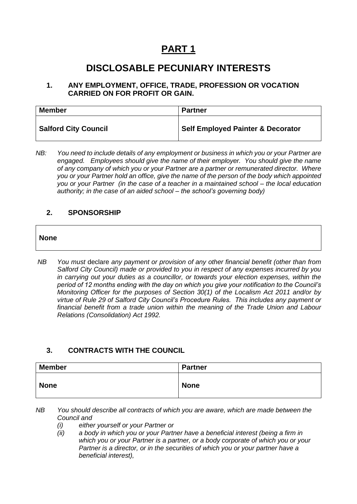# **PART 1**

# **DISCLOSABLE PECUNIARY INTERESTS**

#### **1. ANY EMPLOYMENT, OFFICE, TRADE, PROFESSION OR VOCATION CARRIED ON FOR PROFIT OR GAIN.**

| <b>Member</b>               | <b>Partner</b>                               |
|-----------------------------|----------------------------------------------|
| <b>Salford City Council</b> | <b>Self Employed Painter &amp; Decorator</b> |

*NB: You need to include details of any employment or business in which you or your Partner are engaged. Employees should give the name of their employer. You should give the name of any company of which you or your Partner are a partner or remunerated director. Where you or your Partner hold an office, give the name of the person of the body which appointed you or your Partner (in the case of a teacher in a maintained school – the local education authority; in the case of an aided school – the school's governing body)*

#### **2. SPONSORSHIP**

#### **None**

*NB You must* declare *any payment or provision of any other financial benefit (other than from Salford City Council) made or provided to you in respect of any expenses incurred by you in carrying out your duties as a councillor, or towards your election expenses, within the period of 12 months ending with the day on which you give your notification to the Council's Monitoring Officer for the purposes of Section 30(1) of the Localism Act 2011 and/or by virtue of Rule 29 of Salford City Council's Procedure Rules. This includes any payment or financial benefit from a trade union within the meaning of the Trade Union and Labour Relations (Consolidation) Act 1992.* 

### **3. CONTRACTS WITH THE COUNCIL**

| <b>Member</b> | <b>Partner</b> |
|---------------|----------------|
| <b>None</b>   | <b>None</b>    |

*NB You should describe all contracts of which you are aware, which are made between the Council and* 

- *(i) either yourself or your Partner or*
- *(ii) a body in which you or your Partner have a beneficial interest (being a firm in which you or your Partner is a partner, or a body corporate of which you or your Partner is a director, or in the securities of which you or your partner have a beneficial interest),*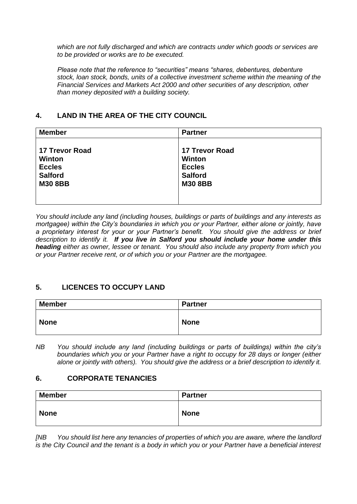*which are not fully discharged and which are contracts under which goods or services are to be provided or works are to be executed.*

*Please note that the reference to "securities" means "shares, debentures, debenture stock, loan stock, bonds, units of a collective investment scheme within the meaning of the Financial Services and Markets Act 2000 and other securities of any description, other than money deposited with a building society.*

# **4. LAND IN THE AREA OF THE CITY COUNCIL**

| <b>Member</b>                                                                               | <b>Partner</b>                                                                              |  |
|---------------------------------------------------------------------------------------------|---------------------------------------------------------------------------------------------|--|
| <b>17 Trevor Road</b><br><b>Winton</b><br><b>Eccles</b><br><b>Salford</b><br><b>M30 8BB</b> | <b>17 Trevor Road</b><br><b>Winton</b><br><b>Eccles</b><br><b>Salford</b><br><b>M30 8BB</b> |  |

*You should include any land (including houses, buildings or parts of buildings and any interests as mortgagee) within the City's boundaries in which you or your Partner, either alone or jointly, have a proprietary interest for your or your Partner's benefit. You should give the address or brief description to identify it. If you live in Salford you should include your home under this heading either as owner, lessee or tenant. You should also include any property from which you or your Partner receive rent, or of which you or your Partner are the mortgagee.*

### **5. LICENCES TO OCCUPY LAND**

| <b>Member</b> | <b>Partner</b> |
|---------------|----------------|
| <b>None</b>   | <b>None</b>    |

*NB You should include any land (including buildings or parts of buildings) within the city's boundaries which you or your Partner have a right to occupy for 28 days or longer (either alone or jointly with others). You should give the address or a brief description to identify it.*

### **6. CORPORATE TENANCIES**

| <b>Member</b> | <b>Partner</b> |
|---------------|----------------|
| <b>None</b>   | <b>None</b>    |

*[NB You should list here any tenancies of properties of which you are aware, where the landlord is the City Council and the tenant is a body in which you or your Partner have a beneficial interest*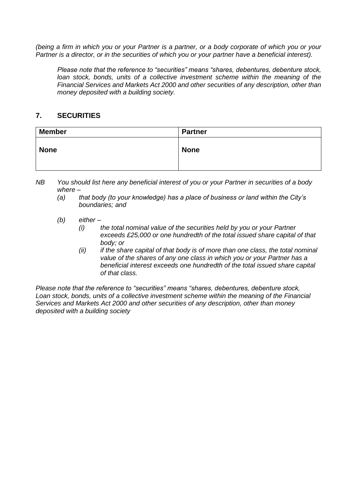*(being a firm in which you or your Partner is a partner, or a body corporate of which you or your Partner is a director, or in the securities of which you or your partner have a beneficial interest).* 

*Please note that the reference to "securities" means "shares, debentures, debenture stock, loan stock, bonds, units of a collective investment scheme within the meaning of the Financial Services and Markets Act 2000 and other securities of any description, other than money deposited with a building society.*

### **7. SECURITIES**

| <b>Member</b> | <b>Partner</b> |
|---------------|----------------|
| <b>None</b>   | <b>None</b>    |

*NB You should list here any beneficial interest of you or your Partner in securities of a body where –*

- *(a) that body (to your knowledge) has a place of business or land within the City's boundaries; and*
- *(b) either –*
	- *(i) the total nominal value of the securities held by you or your Partner exceeds £25,000 or one hundredth of the total issued share capital of that body; or*
	- *(ii) if the share capital of that body is of more than one class, the total nominal value of the shares of any one class in which you or your Partner has a beneficial interest exceeds one hundredth of the total issued share capital of that class.*

*Please note that the reference to "securities" means "shares, debentures, debenture stock, Loan stock, bonds, units of a collective investment scheme within the meaning of the Financial Services and Markets Act 2000 and other securities of any description, other than money deposited with a building society*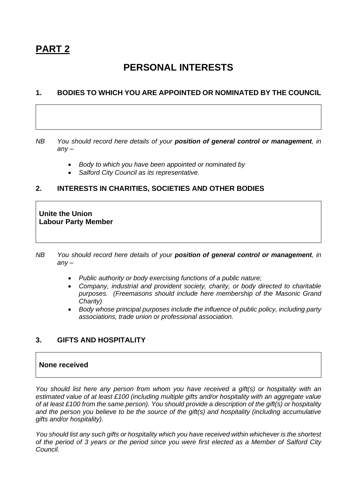# **PERSONAL INTERESTS**

#### **1. BODIES TO WHICH YOU ARE APPOINTED OR NOMINATED BY THE COUNCIL**

*NB You should record here details of your position of general control or management, in any –*

- *Body to which you have been appointed or nominated by*
- *Salford City Council as its representative.*

### **2. INTERESTS IN CHARITIES, SOCIETIES AND OTHER BODIES**

**Unite the Union Labour Party Member**

- *NB You should record here details of your position of general control or management, in any –*
	- *Public authority or body exercising functions of a public nature;*
	- *Company, industrial and provident society, charity, or body directed to charitable purposes. (Freemasons should include here membership of the Masonic Grand Charity)*
	- *Body whose principal purposes include the influence of public policy, including party associations, trade union or professional association.*

# **3. GIFTS AND HOSPITALITY**

#### **None received**

*You should list here any person from whom you have received a gift(s) or hospitality with an estimated value of at least £100 (including multiple gifts and/or hospitality with an aggregate value of at least £100 from the same person). You should provide a description of the gift(s) or hospitality and the person you believe to be the source of the gift(s) and hospitality (including accumulative gifts and/or hospitality).*

*You should list any such gifts or hospitality which you have received within whichever is the shortest of the period of 3 years or the period since you were first elected as a Member of Salford City Council.*